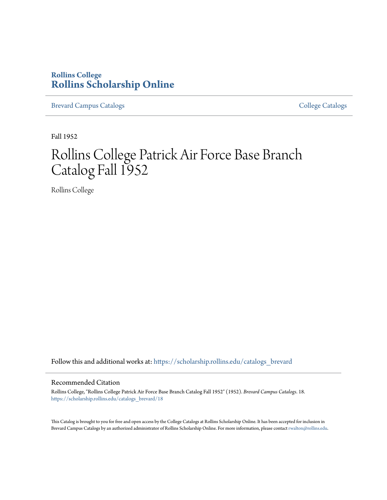### **Rollins College [Rollins Scholarship Online](https://scholarship.rollins.edu?utm_source=scholarship.rollins.edu%2Fcatalogs_brevard%2F18&utm_medium=PDF&utm_campaign=PDFCoverPages)**

[Brevard Campus Catalogs](https://scholarship.rollins.edu/catalogs_brevard?utm_source=scholarship.rollins.edu%2Fcatalogs_brevard%2F18&utm_medium=PDF&utm_campaign=PDFCoverPages) **[College Catalogs](https://scholarship.rollins.edu/catalogs?utm_source=scholarship.rollins.edu%2Fcatalogs_brevard%2F18&utm_medium=PDF&utm_campaign=PDFCoverPages)** College Catalogs **College Catalogs** 

Fall 1952

## Rollins College Patrick Air Force Base Branch Catalog Fall 1952

Rollins College

Follow this and additional works at: [https://scholarship.rollins.edu/catalogs\\_brevard](https://scholarship.rollins.edu/catalogs_brevard?utm_source=scholarship.rollins.edu%2Fcatalogs_brevard%2F18&utm_medium=PDF&utm_campaign=PDFCoverPages)

#### Recommended Citation

Rollins College, "Rollins College Patrick Air Force Base Branch Catalog Fall 1952" (1952). *Brevard Campus Catalogs*. 18. [https://scholarship.rollins.edu/catalogs\\_brevard/18](https://scholarship.rollins.edu/catalogs_brevard/18?utm_source=scholarship.rollins.edu%2Fcatalogs_brevard%2F18&utm_medium=PDF&utm_campaign=PDFCoverPages)

This Catalog is brought to you for free and open access by the College Catalogs at Rollins Scholarship Online. It has been accepted for inclusion in Brevard Campus Catalogs by an authorized administrator of Rollins Scholarship Online. For more information, please contact [rwalton@rollins.edu.](mailto:rwalton@rollins.edu)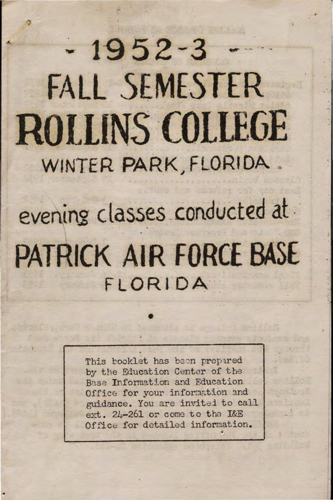# $-1952-3$ FALL SEMESTER **ROLLINS COLLEGE** WINTER PARK, FLORIDA

evening classes conducted at PATRICK AIR FORCE BASE FLORIDA

> This booklet has been prepared by the Education Center of the Base Information and Education Office for your information and guidance. You are invited to call ext. 24-261 or come to the I&E Office for detailed information.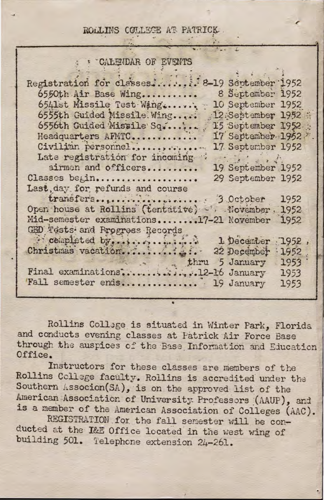#### ROLLINS COLLEGE AT PATRICK.

#### CALEVDAR OF EVENTS

| Registration for classes 8-19 September 1952        |         |  |
|-----------------------------------------------------|---------|--|
| 8 September 1952<br>6550th Air Base Wing            |         |  |
| 6541st Missile Test Wing<br>10 September 1952       |         |  |
| 6555th Guided Missile Wing<br>12:September 1952     |         |  |
| 6556th Guided Missile Sq<br>15 September 1952.      |         |  |
| 17 September 1952<br>Headquarters AFMTC             |         |  |
| Civilian personnel<br>17 September 1952             |         |  |
| Late registration for incoming<br>the indicated     |         |  |
| airmen and officers<br>19 September 1952            |         |  |
| Classes begin<br>29 September 1952                  |         |  |
| Last, day for refunds and course                    |         |  |
|                                                     |         |  |
| Open house at Rollins (tentative) W. November, 1952 |         |  |
| Mid-semester examinations17-21 November             | 1952    |  |
| GED Tests and Progress Records                      |         |  |
| completed by,<br>1 December                         | $-1952$ |  |
| Christmas vacation<br>22 December                   | 1952    |  |
| thru 5 January                                      | 1953    |  |
| Final examinations2-16 January                      | 1953    |  |
| Fall semester ends 19 January                       | 1953    |  |
|                                                     |         |  |

Rollins Collage is situated in Winter Park, Florida and conducts evening classes at Patrick Air Force Base through the auspices of the Base Information and Education Office.

Instructors for these classes are members of the Rollins College faculty. Rollins is accredited under the Southern Associon(SA), is on the approved list of the American Association of University Professors (AAUP), and is a member of the American Association of Colleges (AAC).

REGISTRATION for the fall semester will be conducted at the I&E Office located in the west wing of building 501. Telephone extension 24-261.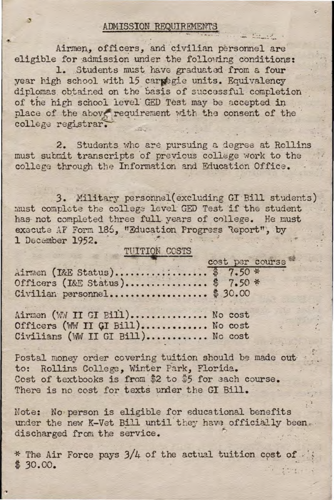#### ADMISSION REQUIREMENTS

Airmen, officers, and civilian personnel are eligible for admission under the following conditions:

1. Students must have graduated from a four year high school with 15 carpegie units. Equivalency diplomas obtained on the basis of successful completion of the high school level GED Test may be accepted in place of the above requirement with the consent of the college registrar.

2. Students who are pursuing a degree at Rollins must submit transcripts of previous college work to the college through the Information and Education Office.

3. Military personnel (excluding GI Bill students) must complete the college level GED Test if the student has not completed three full years of college. He must execute AF Form 186, "Education Progress Report", by 1 December 1952.

#### TUITION COSTS

|                                | cost per course |
|--------------------------------|-----------------|
| Airmen (I&E Status) \$ 7.50 *  |                 |
| Officers (I&E Status) \$7.50 * |                 |
| Civilian personnel \$30.00     |                 |

Airmen (WW II GI Bill).............. No cost Officers (WW II GI Bill)............. No cost Civilians (WW II GI Bill)........... No cost

Postal money order covering tuition should be made out to: Rollins College, Winter Park, Florida. Cost of textbooks is from \$2 to \$5 for each course. There is no cost for texts under the GI Bill.

Note: No person is eligible for educational benefits under the new K-Vet Bill until they have officially been. discharged from the service.

\* The Air Force pays 3/4 of the actual tuition cost of  $$30.00.$